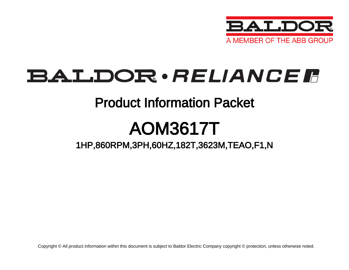

## BALDOR · RELIANCE F

## Product Information Packet

# AOM3617T

## 1HP,860RPM,3PH,60HZ,182T,3623M,TEAO,F1,N

Copyright © All product information within this document is subject to Baldor Electric Company copyright © protection, unless otherwise noted.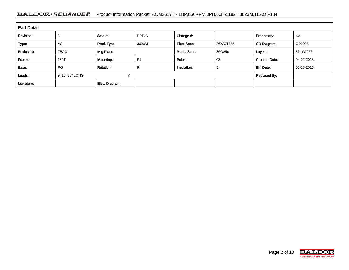### BALDOR · RELIANCE F Product Information Packet: AOM3617T - 1HP,860RPM,3PH,60HZ,182T,3623M,TEAO,F1,N

| <b>Part Detail</b> |                               |                  |                |             |          |                      |            |  |
|--------------------|-------------------------------|------------------|----------------|-------------|----------|----------------------|------------|--|
| Revision:          | D                             | Status:          | PRD/A          | Change #:   |          | Proprietary:         | No         |  |
| Type:              | AC.                           | Prod. Type:      | 3623M          | Elec. Spec: | 36WGT755 | CD Diagram:          | CD0005     |  |
| Enclosure:         | <b>TEAO</b>                   | Mfg Plant:       |                | Mech. Spec: | 36G256   | Layout:              | 36LYG256   |  |
| Frame:             | 182T                          | Mounting:        | F <sub>1</sub> | Poles:      | 08       | <b>Created Date:</b> | 04-02-2013 |  |
| Base:              | <b>RG</b>                     | <b>Rotation:</b> | R              | Insulation: | В        | Eff. Date:           | 05-18-2015 |  |
| Leads:             | $\checkmark$<br>9#16 36" LONG |                  |                |             |          | <b>Replaced By:</b>  |            |  |
| Literature:        |                               | Elec. Diagram:   |                |             |          |                      |            |  |

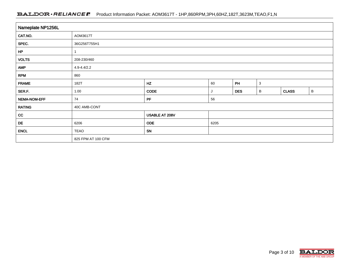### BALDOR · RELIANCE F Product Information Packet: AOM3617T - 1HP,860RPM,3PH,60HZ,182T,3623M,TEAO,F1,N

| Nameplate NP1256L |                    |                |                                      |    |              |  |   |  |  |
|-------------------|--------------------|----------------|--------------------------------------|----|--------------|--|---|--|--|
| CAT.NO.           | AOM3617T           |                |                                      |    |              |  |   |  |  |
| SPEC.             | 36G256T755H1       |                |                                      |    |              |  |   |  |  |
| HP                |                    |                |                                      |    |              |  |   |  |  |
| <b>VOLTS</b>      | 208-230/460        |                |                                      |    |              |  |   |  |  |
| <b>AMP</b>        | $4.9 - 4.4 / 2.2$  |                |                                      |    |              |  |   |  |  |
| <b>RPM</b>        | 860                |                |                                      |    |              |  |   |  |  |
| <b>FRAME</b>      | 182T               | HZ             | 60                                   | PH | $\mathbf{3}$ |  |   |  |  |
| SER.F.            | 1.00               | CODE           | <b>CLASS</b><br><b>DES</b><br>B<br>J |    |              |  | B |  |  |
| NEMA-NOM-EFF      | 74                 | PF             | 56                                   |    |              |  |   |  |  |
| <b>RATING</b>     | 40C AMB-CONT       |                |                                      |    |              |  |   |  |  |
| cc                |                    | USABLE AT 208V |                                      |    |              |  |   |  |  |
| DE                | 6206               | <b>ODE</b>     | 6205                                 |    |              |  |   |  |  |
| <b>ENCL</b>       | <b>TEAO</b>        | SN             |                                      |    |              |  |   |  |  |
|                   | 825 FPM AT 100 CFM |                |                                      |    |              |  |   |  |  |

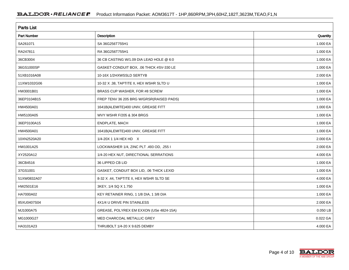| <b>Parts List</b>  |                                          |            |  |  |  |  |
|--------------------|------------------------------------------|------------|--|--|--|--|
| <b>Part Number</b> | Description                              | Quantity   |  |  |  |  |
| SA261071           | SA 36G256T755H1                          | 1.000 EA   |  |  |  |  |
| RA247811           | RA 36G256T755H1                          | 1.000 EA   |  |  |  |  |
| 36CB3004           | 36 CB CASTING W/1.09 DIA LEAD HOLE @ 6:0 | 1.000 EA   |  |  |  |  |
| 36GS1000SP         | GASKET-CONDUIT BOX, .06 THICK #SV-330 LE | 1.000 EA   |  |  |  |  |
| 51XB1016A08        | 10-16X 1/2HXWSSLD SERTYB                 | 2.000 EA   |  |  |  |  |
| 11XW1032G06        | 10-32 X .38, TAPTITE II, HEX WSHR SLTD U | 1.000 EA   |  |  |  |  |
| HW3001B01          | BRASS CUP WASHER, FOR #8 SCREW           | 1.000 EA   |  |  |  |  |
| 36EP3104B15        | FREP TENV 36 205 BRG W/GRSR(RAISED PADS) | 1.000 EA   |  |  |  |  |
| HW4500A01          | 1641B(ALEMITE)400 UNIV, GREASE FITT      | 1.000 EA   |  |  |  |  |
| HW5100A05          | WVY WSHR F/205 & 304 BRGS                | 1.000 EA   |  |  |  |  |
| 36EP3100A15        | ENDPLATE, MACH                           | 1.000 EA   |  |  |  |  |
| HW4500A01          | 1641B(ALEMITE)400 UNIV, GREASE FITT      | 1.000 EA   |  |  |  |  |
| 10XN2520A20        | 1/4-20X 1 1/4 HEX HD X                   | 2.000 EA   |  |  |  |  |
| HW1001A25          | LOCKWASHER 1/4, ZINC PLT .493 OD, .255 I | 2.000 EA   |  |  |  |  |
| XY2520A12          | 1/4-20 HEX NUT, DIRECTIONAL SERRATIONS   | 4.000 EA   |  |  |  |  |
| 36CB4516           | 36 LIPPED CB LID                         | 1.000 EA   |  |  |  |  |
| 37GS1001           | GASKET, CONDUIT BOX LID, .06 THICK LEXID | 1.000 EA   |  |  |  |  |
| 51XW0832A07        | 8-32 X .44, TAPTITE II, HEX WSHR SLTD SE | 4.000 EA   |  |  |  |  |
| HW2501E16          | 3KEY, 1/4 SQ X 1.750                     | 1.000 EA   |  |  |  |  |
| HA7000A02          | KEY RETAINER RING, 1 1/8 DIA, 1 3/8 DIA  | 1.000 EA   |  |  |  |  |
| 85XU0407S04        | 4X1/4 U DRIVE PIN STAINLESS              | 2.000 EA   |  |  |  |  |
| MJ1000A75          | GREASE, POLYREX EM EXXON (USe 4824-15A)  | $0.050$ LB |  |  |  |  |
| MG1000G27          | MED CHARCOAL METALLIC GREY               | 0.022 GA   |  |  |  |  |
| HA3101A23          | THRUBOLT 1/4-20 X 9.625 DEMBY            | 4.000 EA   |  |  |  |  |

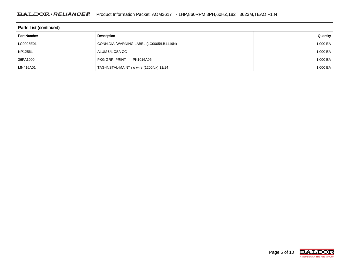| <b>Parts List (continued)</b> |                                          |          |  |  |  |  |
|-------------------------------|------------------------------------------|----------|--|--|--|--|
| <b>Part Number</b>            | Description                              | Quantity |  |  |  |  |
| LC0005E01                     | CONN.DIA./WARNING LABEL (LC0005/LB1119N) | 1.000 EA |  |  |  |  |
| <b>NP1256L</b>                | ALUM UL CSA CC                           | 1.000 EA |  |  |  |  |
| 36PA1000                      | PKG GRP, PRINT<br>PK1016A06              | 1.000 EA |  |  |  |  |
| MN416A01                      | TAG-INSTAL-MAINT no wire (1200/bx) 11/14 | 1.000 EA |  |  |  |  |

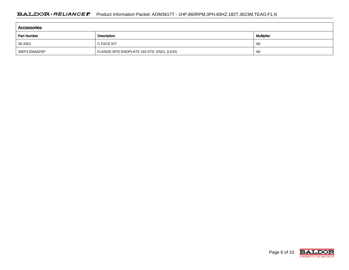| <b>Accessories</b> |                                         |                   |  |  |  |  |  |
|--------------------|-----------------------------------------|-------------------|--|--|--|--|--|
| <b>Part Number</b> | Description                             | <b>Multiplier</b> |  |  |  |  |  |
| 36-3301            | C FACE KIT                              | A8                |  |  |  |  |  |
| 36EP1304A62SP      | FLANGE MTD ENDPLATE 182-4TD -ENCL (LESS | A8                |  |  |  |  |  |

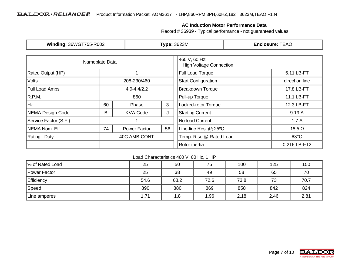### **AC Induction Motor Performance Data**

Record # 36939 - Typical performance - not guaranteed values

| <b>Winding: 36WGT755-R002</b> |                           | <b>Type: 3623M</b> |                                                 | <b>Enclosure: TEAO</b>     |                |  |
|-------------------------------|---------------------------|--------------------|-------------------------------------------------|----------------------------|----------------|--|
| Nameplate Data                |                           |                    | 460 V, 60 Hz:<br><b>High Voltage Connection</b> |                            |                |  |
| Rated Output (HP)             |                           |                    | <b>Full Load Torque</b>                         | 6.11 LB-FT                 |                |  |
| Volts                         |                           | 208-230/460        |                                                 | <b>Start Configuration</b> | direct on line |  |
| <b>Full Load Amps</b>         |                           | $4.9 - 4.4/2.2$    |                                                 | <b>Breakdown Torque</b>    | 17.8 LB-FT     |  |
| R.P.M.                        |                           | 860                |                                                 | Pull-up Torque             | 11.1 LB-FT     |  |
| Hz                            | 60                        | Phase              | 3                                               | Locked-rotor Torque        | 12.3 LB-FT     |  |
| NEMA Design Code              | <b>KVA Code</b><br>В<br>J |                    | <b>Starting Current</b>                         | 9.19 A                     |                |  |
| Service Factor (S.F.)         |                           |                    |                                                 | No-load Current            | 1.7A           |  |
| NEMA Nom. Eff.<br>74          |                           | Power Factor       | 56                                              | Line-line Res. @ 25°C      | $18.5 \Omega$  |  |
| <b>Rating - Duty</b>          |                           | 40C AMB-CONT       |                                                 | Temp. Rise @ Rated Load    | $63^{\circ}$ C |  |
|                               |                           | Rotor inertia      | 0.216 LB-FT2                                    |                            |                |  |

Load Characteristics 460 V, 60 Hz, 1 HP

| % of Rated Load | 25   | 50   | 75   | 100  | 125  | 150  |
|-----------------|------|------|------|------|------|------|
| Power Factor    | 25   | 38   | 49   | 58   | 65   | 70   |
| Efficiency      | 54.6 | 68.2 | 72.6 | 73.8 | 73   | 70.7 |
| Speed           | 890  | 880  | 869  | 858  | 842  | 824  |
| Line amperes    | 1.71 | 1.8  | 1.96 | 2.18 | 2.46 | 2.81 |

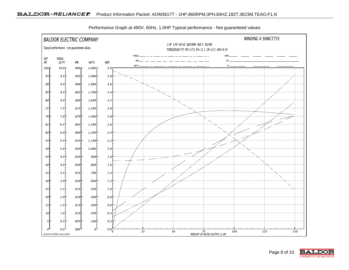

Performance Graph at 460V, 60Hz, 1.0HP Typical performance - Not guaranteed values

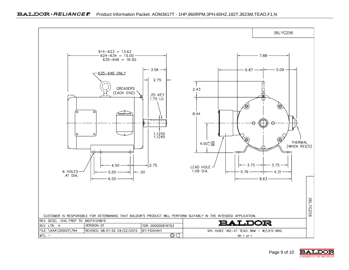